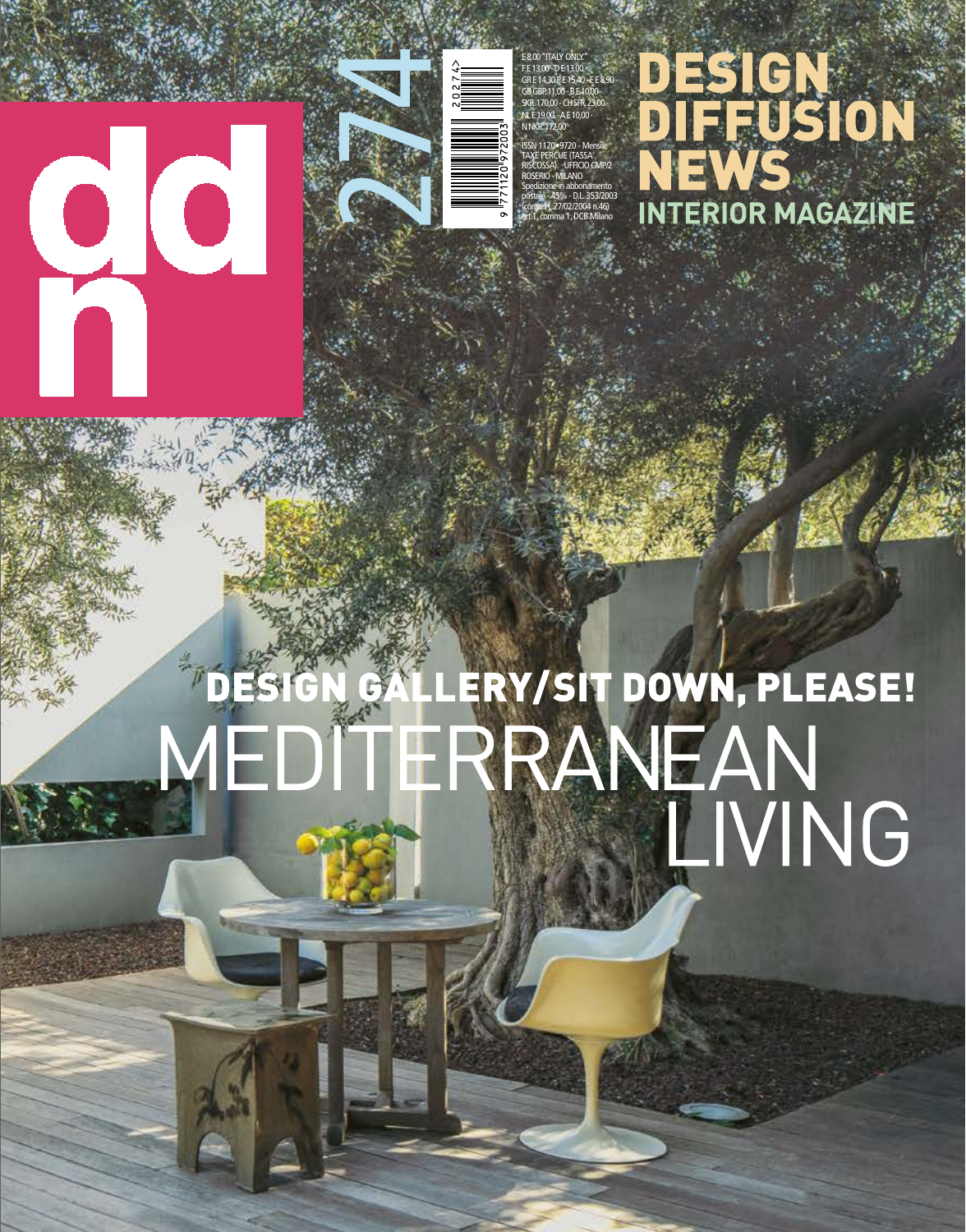## 00



E 8.00 "ITALY ONLY" F E 13,00 - D E 13,00 - GR E 14,30 P E 15,40 - E E 8,90 - GB GBP. 11,00 - B E 10,00 - SKR. 170,00 - CH SFR. 23,00 - NL E 19,00. - A E 10,00 -

N NKR. 172,00 ISSN 1120•9720 - Mensile TAXE PERCUE (TASSA RISCOSSA). UFFICIO CMP/2 ROSERIO - MILANO Spedizione in abbonamento postale - 45% - D.L. 353/2003 (conv.in L.27/02/2004 n.46) art.1, comma 1, DCB Milano

## DESIGN<br>DIFFUSION NTERIOR MAGAZINE

## DESIGN GALLERY/SIT DOWN, PLEASE!